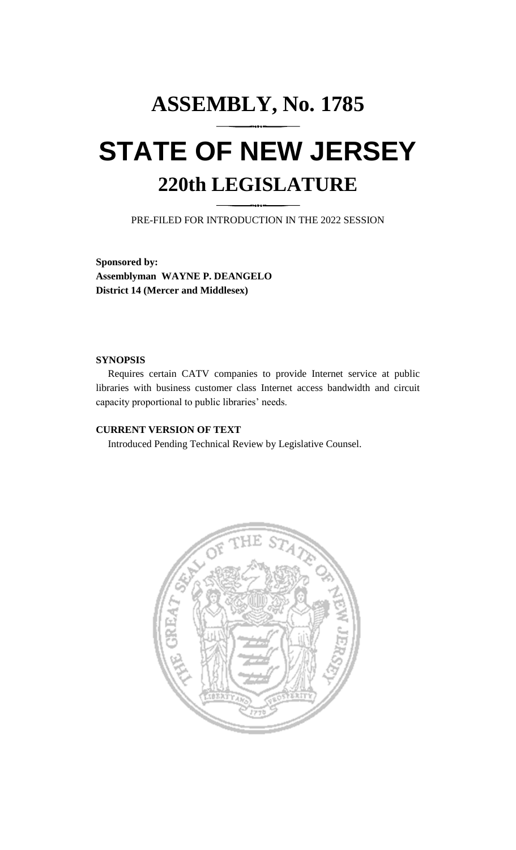## **ASSEMBLY, No. 1785 STATE OF NEW JERSEY 220th LEGISLATURE**

PRE-FILED FOR INTRODUCTION IN THE 2022 SESSION

**Sponsored by: Assemblyman WAYNE P. DEANGELO District 14 (Mercer and Middlesex)**

## **SYNOPSIS**

Requires certain CATV companies to provide Internet service at public libraries with business customer class Internet access bandwidth and circuit capacity proportional to public libraries' needs.

## **CURRENT VERSION OF TEXT**

Introduced Pending Technical Review by Legislative Counsel.

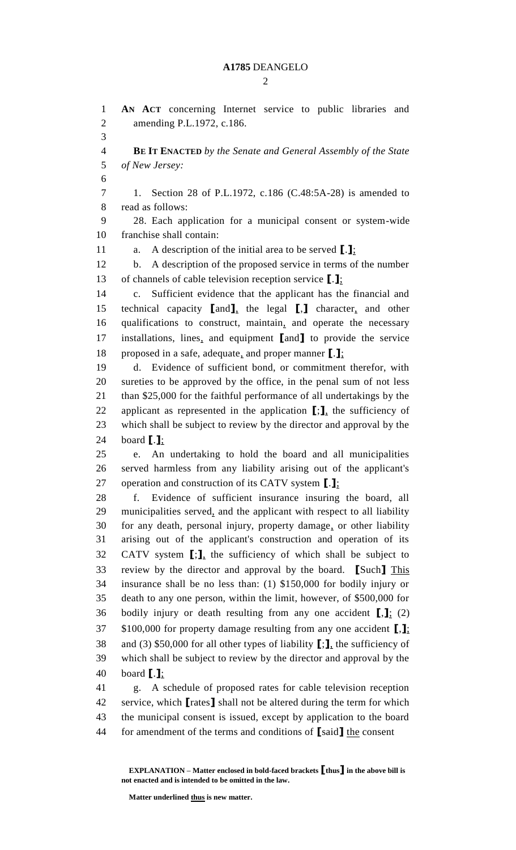$\mathcal{D}_{\mathcal{L}}$ 

 **AN ACT** concerning Internet service to public libraries and amending P.L.1972, c.186. **BE IT ENACTED** *by the Senate and General Assembly of the State of New Jersey:* 1. Section 28 of P.L.1972, c.186 (C.48:5A-28) is amended to read as follows: 28. Each application for a municipal consent or system-wide franchise shall contain: a. A description of the initial area to be served **[**.**]**; b. A description of the proposed service in terms of the number of channels of cable television reception service **[**.**]**; c. Sufficient evidence that the applicant has the financial and technical capacity **[**and**]**, the legal **[**,**]** character, and other qualifications to construct, maintain, and operate the necessary installations, lines, and equipment **[**and**]** to provide the service proposed in a safe, adequate, and proper manner **[**.**]**; d. Evidence of sufficient bond, or commitment therefor, with sureties to be approved by the office, in the penal sum of not less than \$25,000 for the faithful performance of all undertakings by the applicant as represented in the application **[**;**]**, the sufficiency of which shall be subject to review by the director and approval by the board **[**.**]**; e. An undertaking to hold the board and all municipalities served harmless from any liability arising out of the applicant's operation and construction of its CATV system **[**.**]**; f. Evidence of sufficient insurance insuring the board, all municipalities served, and the applicant with respect to all liability for any death, personal injury, property damage, or other liability arising out of the applicant's construction and operation of its CATV system **[**;**]**, the sufficiency of which shall be subject to review by the director and approval by the board. **[**Such**]** This insurance shall be no less than: (1) \$150,000 for bodily injury or death to any one person, within the limit, however, of \$500,000 for bodily injury or death resulting from any one accident **[**,**]**; (2) \$100,000 for property damage resulting from any one accident **[**,**]**; and (3) \$50,000 for all other types of liability **[**;**]**, the sufficiency of which shall be subject to review by the director and approval by the board **[**.**]**; g. A schedule of proposed rates for cable television reception service, which **[**rates**]** shall not be altered during the term for which the municipal consent is issued, except by application to the board

for amendment of the terms and conditions of **[**said**]** the consent

**EXPLANATION – Matter enclosed in bold-faced brackets [thus] in the above bill is not enacted and is intended to be omitted in the law.**

**Matter underlined thus is new matter.**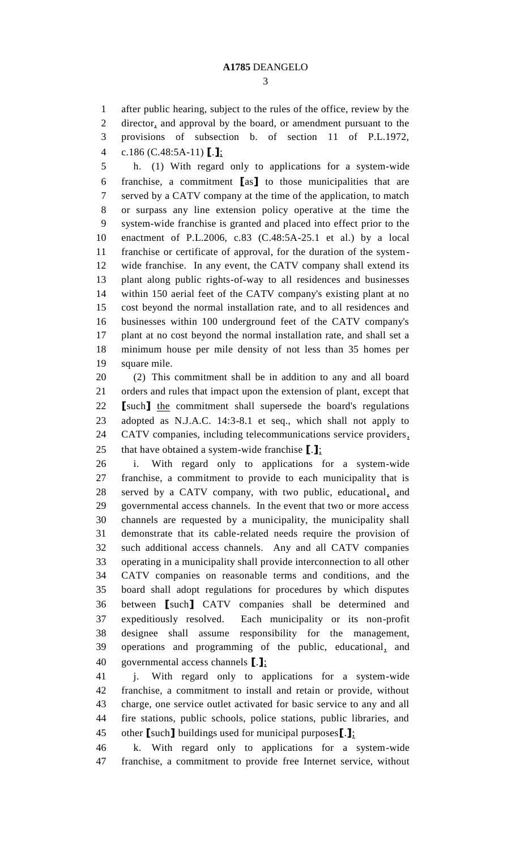after public hearing, subject to the rules of the office, review by the

director, and approval by the board, or amendment pursuant to the

provisions of subsection b. of section 11 of P.L.1972,

c.186 (C.48:5A-11) **[**.**]**;

 h. (1) With regard only to applications for a system-wide franchise, a commitment **[**as**]** to those municipalities that are served by a CATV company at the time of the application, to match or surpass any line extension policy operative at the time the system-wide franchise is granted and placed into effect prior to the enactment of P.L.2006, c.83 (C.48:5A-25.1 et al.) by a local franchise or certificate of approval, for the duration of the system- wide franchise. In any event, the CATV company shall extend its plant along public rights-of-way to all residences and businesses within 150 aerial feet of the CATV company's existing plant at no cost beyond the normal installation rate, and to all residences and businesses within 100 underground feet of the CATV company's plant at no cost beyond the normal installation rate, and shall set a minimum house per mile density of not less than 35 homes per square mile.

 (2) This commitment shall be in addition to any and all board orders and rules that impact upon the extension of plant, except that **[**such**]** the commitment shall supersede the board's regulations adopted as N.J.A.C. 14:3-8.1 et seq., which shall not apply to CATV companies, including telecommunications service providers, that have obtained a system-wide franchise **[**.**]**;

 i. With regard only to applications for a system-wide franchise, a commitment to provide to each municipality that is served by a CATV company, with two public, educational, and governmental access channels. In the event that two or more access channels are requested by a municipality, the municipality shall demonstrate that its cable-related needs require the provision of such additional access channels. Any and all CATV companies operating in a municipality shall provide interconnection to all other CATV companies on reasonable terms and conditions, and the board shall adopt regulations for procedures by which disputes between **[**such**]** CATV companies shall be determined and expeditiously resolved. Each municipality or its non-profit designee shall assume responsibility for the management, operations and programming of the public, educational, and governmental access channels **[**.**]**;

 j. With regard only to applications for a system-wide franchise, a commitment to install and retain or provide, without charge, one service outlet activated for basic service to any and all fire stations, public schools, police stations, public libraries, and other **[**such**]** buildings used for municipal purposes**[**.**]**;

 k. With regard only to applications for a system-wide franchise, a commitment to provide free Internet service, without